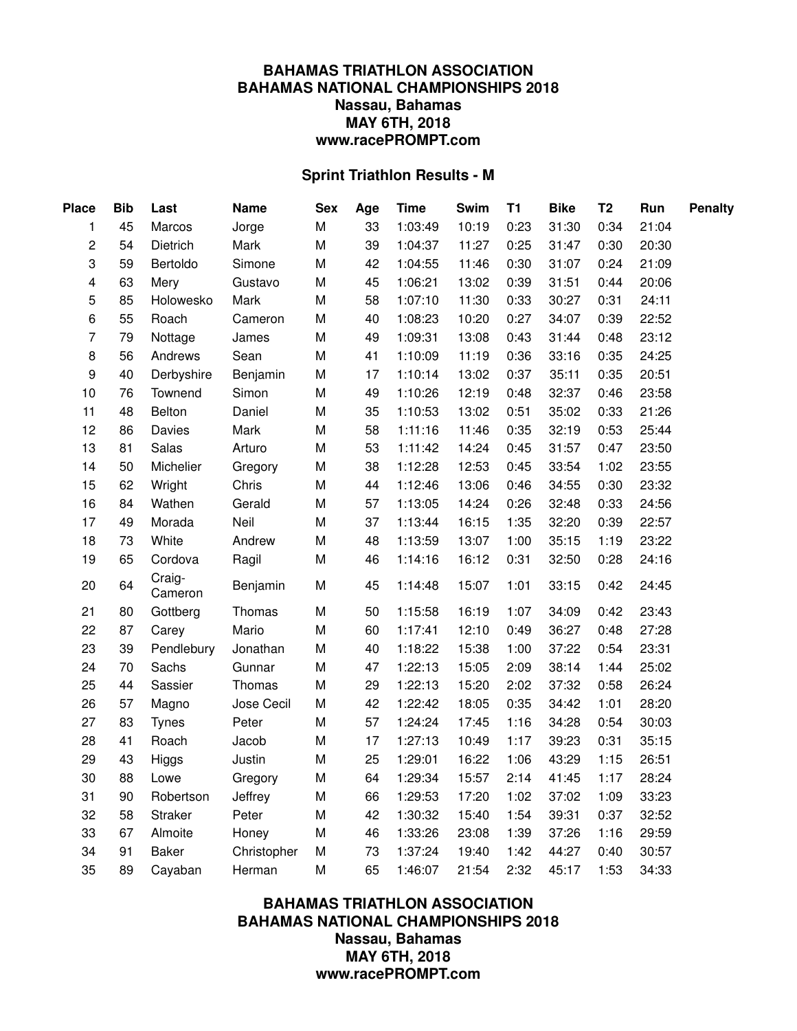## **BAHAMAS TRIATHLON ASSOCIATION BAHAMAS NATIONAL CHAMPIONSHIPS 2018 Nassau, Bahamas MAY 6TH, 2018 www.racePROMPT.com**

## **Sprint Triathlon Results - M**

| <b>Place</b>            | <b>Bib</b> | Last              | <b>Name</b> | <b>Sex</b> | Age | <b>Time</b> | Swim  | <b>T1</b> | <b>Bike</b> | T <sub>2</sub> | Run   | <b>Penalty</b> |
|-------------------------|------------|-------------------|-------------|------------|-----|-------------|-------|-----------|-------------|----------------|-------|----------------|
| 1                       | 45         | Marcos            | Jorge       | M          | 33  | 1:03:49     | 10:19 | 0:23      | 31:30       | 0:34           | 21:04 |                |
| $\overline{c}$          | 54         | Dietrich          | Mark        | M          | 39  | 1:04:37     | 11:27 | 0:25      | 31:47       | 0:30           | 20:30 |                |
| 3                       | 59         | Bertoldo          | Simone      | M          | 42  | 1:04:55     | 11:46 | 0:30      | 31:07       | 0:24           | 21:09 |                |
| $\overline{\mathbf{4}}$ | 63         | Mery              | Gustavo     | M          | 45  | 1:06:21     | 13:02 | 0:39      | 31:51       | 0:44           | 20:06 |                |
| 5                       | 85         | Holowesko         | Mark        | M          | 58  | 1:07:10     | 11:30 | 0:33      | 30:27       | 0:31           | 24:11 |                |
| 6                       | 55         | Roach             | Cameron     | M          | 40  | 1:08:23     | 10:20 | 0:27      | 34:07       | 0:39           | 22:52 |                |
| $\overline{7}$          | 79         | Nottage           | James       | M          | 49  | 1:09:31     | 13:08 | 0:43      | 31:44       | 0:48           | 23:12 |                |
| 8                       | 56         | Andrews           | Sean        | M          | 41  | 1:10:09     | 11:19 | 0:36      | 33:16       | 0:35           | 24:25 |                |
| 9                       | 40         | Derbyshire        | Benjamin    | M          | 17  | 1:10:14     | 13:02 | 0:37      | 35:11       | 0:35           | 20:51 |                |
| 10                      | 76         | Townend           | Simon       | M          | 49  | 1:10:26     | 12:19 | 0:48      | 32:37       | 0:46           | 23:58 |                |
| 11                      | 48         | Belton            | Daniel      | M          | 35  | 1:10:53     | 13:02 | 0:51      | 35:02       | 0:33           | 21:26 |                |
| 12                      | 86         | Davies            | Mark        | M          | 58  | 1:11:16     | 11:46 | 0:35      | 32:19       | 0:53           | 25:44 |                |
| 13                      | 81         | Salas             | Arturo      | M          | 53  | 1:11:42     | 14:24 | 0:45      | 31:57       | 0:47           | 23:50 |                |
| 14                      | 50         | Michelier         | Gregory     | M          | 38  | 1:12:28     | 12:53 | 0:45      | 33:54       | 1:02           | 23:55 |                |
| 15                      | 62         | Wright            | Chris       | M          | 44  | 1:12:46     | 13:06 | 0:46      | 34:55       | 0:30           | 23:32 |                |
| 16                      | 84         | Wathen            | Gerald      | M          | 57  | 1:13:05     | 14:24 | 0:26      | 32:48       | 0:33           | 24:56 |                |
| 17                      | 49         | Morada            | Neil        | M          | 37  | 1:13:44     | 16:15 | 1:35      | 32:20       | 0:39           | 22:57 |                |
| 18                      | 73         | White             | Andrew      | M          | 48  | 1:13:59     | 13:07 | 1:00      | 35:15       | 1:19           | 23:22 |                |
| 19                      | 65         | Cordova           | Ragil       | M          | 46  | 1:14:16     | 16:12 | 0:31      | 32:50       | 0:28           | 24:16 |                |
| 20                      | 64         | Craig-<br>Cameron | Benjamin    | M          | 45  | 1:14:48     | 15:07 | 1:01      | 33:15       | 0:42           | 24:45 |                |
| 21                      | 80         | Gottberg          | Thomas      | M          | 50  | 1:15:58     | 16:19 | 1:07      | 34:09       | 0:42           | 23:43 |                |
| 22                      | 87         | Carey             | Mario       | M          | 60  | 1:17:41     | 12:10 | 0:49      | 36:27       | 0:48           | 27:28 |                |
| 23                      | 39         | Pendlebury        | Jonathan    | M          | 40  | 1:18:22     | 15:38 | 1:00      | 37:22       | 0:54           | 23:31 |                |
| 24                      | 70         | Sachs             | Gunnar      | M          | 47  | 1:22:13     | 15:05 | 2:09      | 38:14       | 1:44           | 25:02 |                |
| 25                      | 44         | Sassier           | Thomas      | M          | 29  | 1:22:13     | 15:20 | 2:02      | 37:32       | 0:58           | 26:24 |                |
| 26                      | 57         | Magno             | Jose Cecil  | M          | 42  | 1:22:42     | 18:05 | 0:35      | 34:42       | 1:01           | 28:20 |                |
| 27                      | 83         | <b>Tynes</b>      | Peter       | M          | 57  | 1:24:24     | 17:45 | 1:16      | 34:28       | 0:54           | 30:03 |                |
| 28                      | 41         | Roach             | Jacob       | M          | 17  | 1:27:13     | 10:49 | 1:17      | 39:23       | 0:31           | 35:15 |                |
| 29                      | 43         | Higgs             | Justin      | M          | 25  | 1:29:01     | 16:22 | 1:06      | 43:29       | 1:15           | 26:51 |                |
| 30                      | 88         | Lowe              | Gregory     | M          | 64  | 1:29:34     | 15:57 | 2:14      | 41:45       | 1:17           | 28:24 |                |
| 31                      | 90         | Robertson         | Jeffrey     | M          | 66  | 1:29:53     | 17:20 | 1:02      | 37:02       | 1:09           | 33:23 |                |
| 32                      | 58         | <b>Straker</b>    | Peter       | M          | 42  | 1:30:32     | 15:40 | 1:54      | 39:31       | 0:37           | 32:52 |                |
| 33                      | 67         | Almoite           | Honey       | M          | 46  | 1:33:26     | 23:08 | 1:39      | 37:26       | 1:16           | 29:59 |                |
| 34                      | 91         | <b>Baker</b>      | Christopher | M          | 73  | 1:37:24     | 19:40 | 1:42      | 44:27       | 0:40           | 30:57 |                |
| 35                      | 89         | Cayaban           | Herman      | M          | 65  | 1:46:07     | 21:54 | 2:32      | 45:17       | 1:53           | 34:33 |                |

**BAHAMAS TRIATHLON ASSOCIATION BAHAMAS NATIONAL CHAMPIONSHIPS 2018 Nassau, Bahamas MAY 6TH, 2018 www.racePROMPT.com**